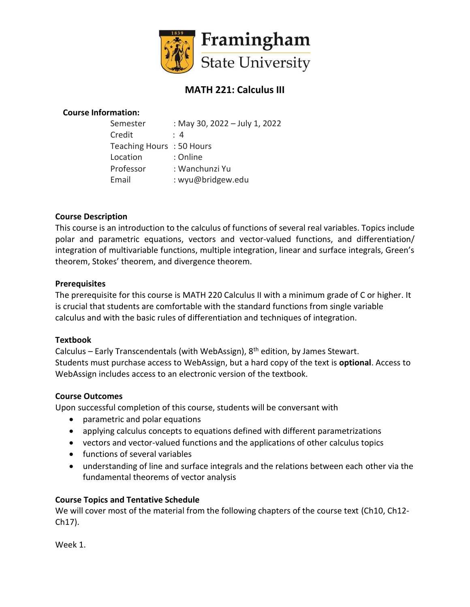

# **MATH 221: Calculus III**

# **Course Information:**

| Semester                 | : May 30, 2022 - July 1, 2022 |
|--------------------------|-------------------------------|
| Credit                   | : 4                           |
| Teaching Hours: 50 Hours |                               |
| Location                 | : Online                      |
| Professor                | : Wanchunzi Yu                |
| Email                    | : wyu@bridgew.edu             |
|                          |                               |

# **Course Description**

This course is an introduction to the calculus of functions of several real variables. Topics include polar and parametric equations, vectors and vector-valued functions, and differentiation/ integration of multivariable functions, multiple integration, linear and surface integrals, Green's theorem, Stokes' theorem, and divergence theorem.

## **Prerequisites**

The prerequisite for this course is MATH 220 Calculus II with a minimum grade of C or higher. It is crucial that students are comfortable with the standard functions from single variable calculus and with the basic rules of differentiation and techniques of integration.

## **Textbook**

Calculus – Early Transcendentals (with WebAssign),  $8<sup>th</sup>$  edition, by James Stewart. Students must purchase access to WebAssign, but a hard copy of the text is **optional**. Access to WebAssign includes access to an electronic version of the textbook.

## **Course Outcomes**

Upon successful completion of this course, students will be conversant with

- parametric and polar equations
- applying calculus concepts to equations defined with different parametrizations
- vectors and vector-valued functions and the applications of other calculus topics
- functions of several variables
- understanding of line and surface integrals and the relations between each other via the fundamental theorems of vector analysis

## **Course Topics and Tentative Schedule**

We will cover most of the material from the following chapters of the course text (Ch10, Ch12- Ch17).

Week 1.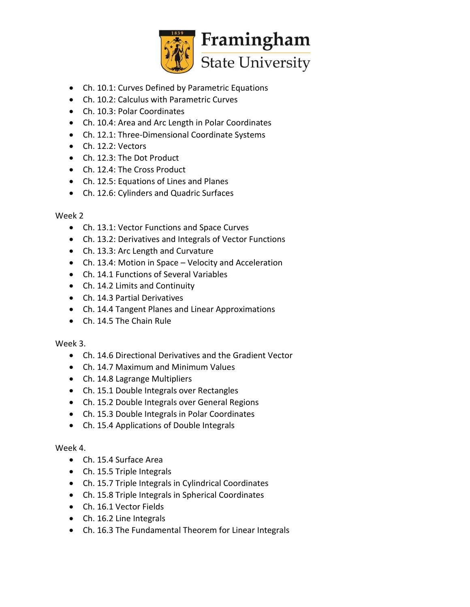

- Ch. 10.1: Curves Defined by Parametric Equations
- Ch. 10.2: Calculus with Parametric Curves
- Ch. 10.3: Polar Coordinates
- Ch. 10.4: Area and Arc Length in Polar Coordinates
- Ch. 12.1: Three-Dimensional Coordinate Systems
- Ch. 12.2: Vectors
- Ch. 12.3: The Dot Product
- Ch. 12.4: The Cross Product
- Ch. 12.5: Equations of Lines and Planes
- Ch. 12.6: Cylinders and Quadric Surfaces

## Week 2

- Ch. 13.1: Vector Functions and Space Curves
- Ch. 13.2: Derivatives and Integrals of Vector Functions
- Ch. 13.3: Arc Length and Curvature
- Ch. 13.4: Motion in Space Velocity and Acceleration
- Ch. 14.1 Functions of Several Variables
- Ch. 14.2 Limits and Continuity
- Ch. 14.3 Partial Derivatives
- Ch. 14.4 Tangent Planes and Linear Approximations
- Ch. 14.5 The Chain Rule

# Week 3.

- Ch. 14.6 Directional Derivatives and the Gradient Vector
- Ch. 14.7 Maximum and Minimum Values
- Ch. 14.8 Lagrange Multipliers
- Ch. 15.1 Double Integrals over Rectangles
- Ch. 15.2 Double Integrals over General Regions
- Ch. 15.3 Double Integrals in Polar Coordinates
- Ch. 15.4 Applications of Double Integrals

# Week 4.

- Ch. 15.4 Surface Area
- Ch. 15.5 Triple Integrals
- Ch. 15.7 Triple Integrals in Cylindrical Coordinates
- Ch. 15.8 Triple Integrals in Spherical Coordinates
- Ch. 16.1 Vector Fields
- Ch. 16.2 Line Integrals
- Ch. 16.3 The Fundamental Theorem for Linear Integrals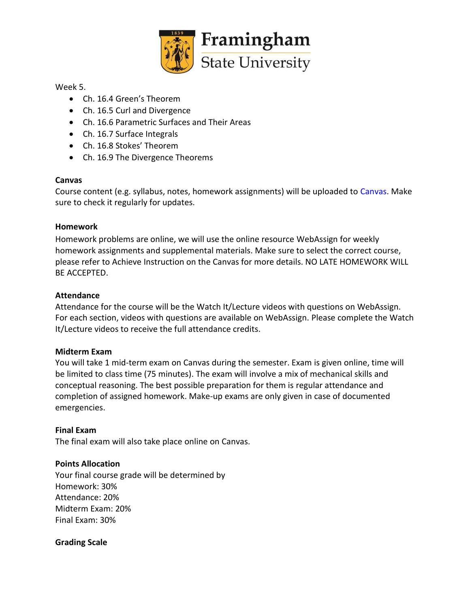

## Week 5.

- Ch. 16.4 Green's Theorem
- Ch. 16.5 Curl and Divergence
- Ch. 16.6 Parametric Surfaces and Their Areas
- Ch. 16.7 Surface Integrals
- Ch. 16.8 Stokes' Theorem
- Ch. 16.9 The Divergence Theorems

## **Canvas**

Course content (e.g. syllabus, notes, homework assignments) will be uploaded to Canvas. Make sure to check it regularly for updates.

## **Homework**

Homework problems are online, we will use the online resource WebAssign for weekly homework assignments and supplemental materials. Make sure to select the correct course, please refer to Achieve Instruction on the Canvas for more details. NO LATE HOMEWORK WILL BE ACCEPTED.

## **Attendance**

Attendance for the course will be the Watch It/Lecture videos with questions on WebAssign. For each section, videos with questions are available on WebAssign. Please complete the Watch It/Lecture videos to receive the full attendance credits.

## **Midterm Exam**

You will take 1 mid-term exam on Canvas during the semester. Exam is given online, time will be limited to class time (75 minutes). The exam will involve a mix of mechanical skills and conceptual reasoning. The best possible preparation for them is regular attendance and completion of assigned homework. Make-up exams are only given in case of documented emergencies.

## **Final Exam**

The final exam will also take place online on Canvas.

## **Points Allocation**

Your final course grade will be determined by Homework: 30% Attendance: 20% Midterm Exam: 20% Final Exam: 30%

## **Grading Scale**